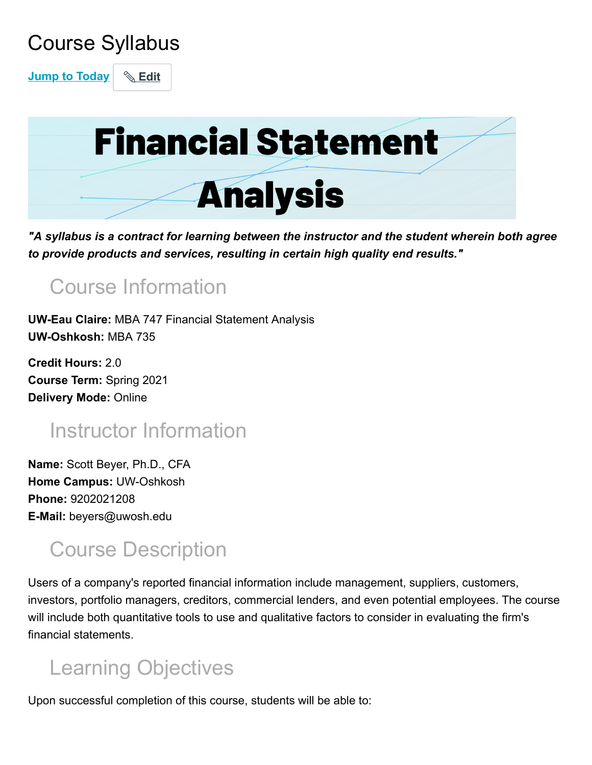# Course Syllabus

**Jump to Today** & Edit



*"A syllabus is a contract for learning between the instructor and the student wherein both agree to provide products and services, resulting in certain high quality end results."*

# Course Information

**UW-Eau Claire:** MBA 747 Financial Statement Analysis **UW-Oshkosh:** MBA 735

**Credit Hours:** 2.0 **Course Term:** Spring 2021 **Delivery Mode:** Online

# Instructor Information

**Name:** Scott Beyer, Ph.D., CFA **Home Campus:** UW-Oshkosh **Phone:** 9202021208 **E-Mail:** beyers@uwosh.edu

### Course Description

Users of a company's reported financial information include management, suppliers, customers, investors, portfolio managers, creditors, commercial lenders, and even potential employees. The course will include both quantitative tools to use and qualitative factors to consider in evaluating the firm's financial statements.

# Learning Objectives

Upon successful completion of this course, students will be able to: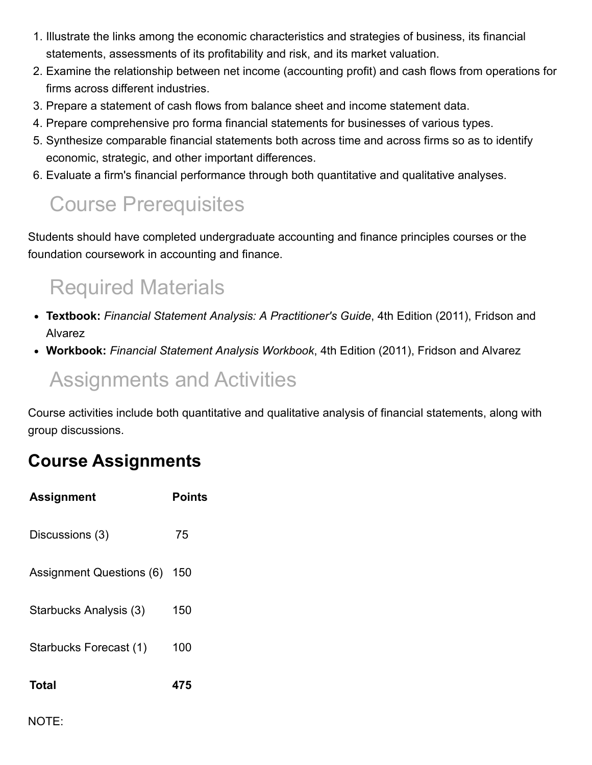- 1. Illustrate the links among the economic characteristics and strategies of business, its financial statements, assessments of its profitability and risk, and its market valuation.
- 2. Examine the relationship between net income (accounting profit) and cash flows from operations for firms across different industries.
- 3. Prepare a statement of cash flows from balance sheet and income statement data.
- 4. Prepare comprehensive pro forma financial statements for businesses of various types.
- 5. Synthesize comparable financial statements both across time and across firms so as to identify economic, strategic, and other important differences.
- 6. Evaluate a firm's financial performance through both quantitative and qualitative analyses.

# Course Prerequisites

Students should have completed undergraduate accounting and finance principles courses or the foundation coursework in accounting and finance.

# Required Materials

- **Textbook:** *Financial Statement Analysis: A Practitioner's Guide*, 4th Edition (2011), Fridson and Alvarez
- **Workbook:** *Financial Statement Analysis Workbook*, 4th Edition (2011), Fridson and Alvarez

### Assignments and Activities

Course activities include both quantitative and qualitative analysis of financial statements, along with group discussions.

#### **Course Assignments**

| <b>Assignment</b>        | Points |
|--------------------------|--------|
| Discussions (3)          | 75     |
| Assignment Questions (6) | 150    |
| Starbucks Analysis (3)   | 150    |
| Starbucks Forecast (1)   | 100    |
| Total                    | 475    |

NOTE: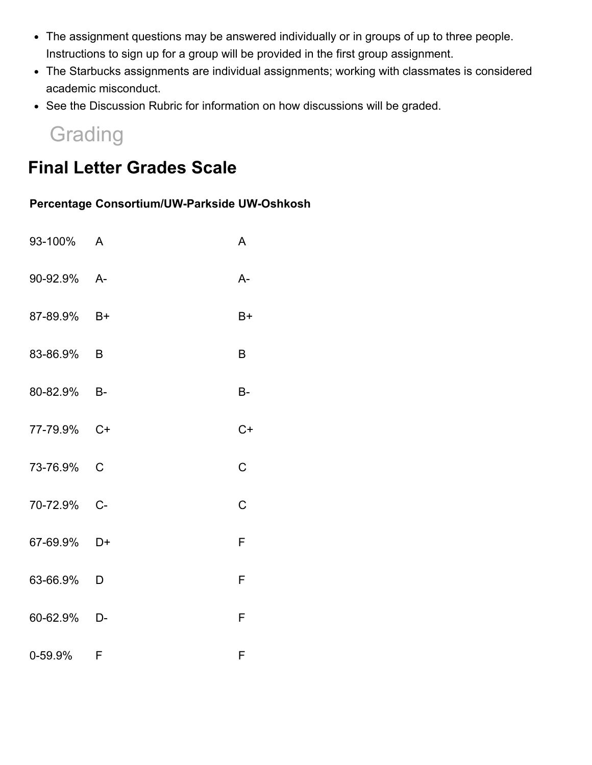- The assignment questions may be answered individually or in groups of up to three people. Instructions to sign up for a group will be provided in the first group assignment.
- The Starbucks assignments are individual assignments; working with classmates is considered academic misconduct.
- See the Discussion Rubric for information on how discussions will be graded.

### **Grading**

#### **Final Letter Grades Scale**

#### **Percentage Consortium/UW-Parkside UW-Oshkosh**

| 93-100% A   |              | A    |
|-------------|--------------|------|
| 90-92.9% A- |              | A-   |
| 87-89.9% B+ |              | $B+$ |
| 83-86.9%    | B            | B    |
| 80-82.9%    | $-B-$        | В-   |
| 77-79.9% C+ |              | $C+$ |
| 73-76.9%    | $\mathsf{C}$ | C    |
| 70-72.9%    | $C -$        | Ć    |
| 67-69.9%    | $D+$         | F    |
| 63-66.9% D  |              | F    |
| 60-62.9%    | D-           | F    |
| 0-59.9% F   |              | F    |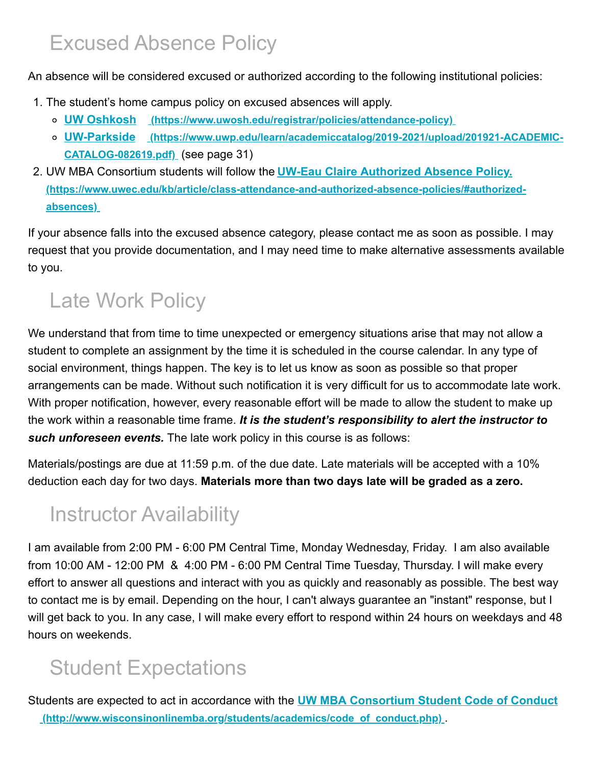### Excused Absence Policy

An absence will be considered excused or authorized according to the following institutional policies:

- 1. The student's home campus policy on excused absences will apply.
	- **UW Oshkosh [\(https://www.uwosh.edu/registrar/policies/attendance-policy\)](https://www.uwosh.edu/registrar/policies/attendance-policy)**
	- **UW-Parkside [\(https://www.uwp.edu/learn/academiccatalog/2019-2021/upload/201921-ACADEMIC-](https://www.uwp.edu/learn/academiccatalog/2019-2021/upload/201921-ACADEMIC-CATALOG-082619.pdf)CATALOG-082619.pdf)** (see page 31)
- 2. UW MBA Consortium students will follow the **UW-Eau Claire Authorized Absence Policy. [\(https://www.uwec.edu/kb/article/class-attendance-and-authorized-absence-policies/#authorized](https://www.uwec.edu/kb/article/class-attendance-and-authorized-absence-policies/#authorized-absences)absences)**

If your absence falls into the excused absence category, please contact me as soon as possible. I may request that you provide documentation, and I may need time to make alternative assessments available to you.

# Late Work Policy

We understand that from time to time unexpected or emergency situations arise that may not allow a student to complete an assignment by the time it is scheduled in the course calendar. In any type of social environment, things happen. The key is to let us know as soon as possible so that proper arrangements can be made. Without such notification it is very difficult for us to accommodate late work. With proper notification, however, every reasonable effort will be made to allow the student to make up the work within a reasonable time frame. *It is the student's responsibility to alert the instructor to such unforeseen events.* The late work policy in this course is as follows:

Materials/postings are due at 11:59 p.m. of the due date. Late materials will be accepted with a 10% deduction each day for two days. **Materials more than two days late will be graded as a zero.**

# Instructor Availability

I am available from 2:00 PM - 6:00 PM Central Time, Monday Wednesday, Friday. I am also available from 10:00 AM - 12:00 PM & 4:00 PM - 6:00 PM Central Time Tuesday, Thursday. I will make every effort to answer all questions and interact with you as quickly and reasonably as possible. The best way to contact me is by email. Depending on the hour, I can't always guarantee an "instant" response, but I will get back to you. In any case, I will make every effort to respond within 24 hours on weekdays and 48 hours on weekends.

# Student Expectations

Students are expected to act in accordance with the **UW MBA Consortium Student Code of Conduct [\(http://www.wisconsinonlinemba.org/students/academics/code\\_of\\_conduct.php\)](http://www.wisconsinonlinemba.org/students/academics/code_of_conduct.php)** .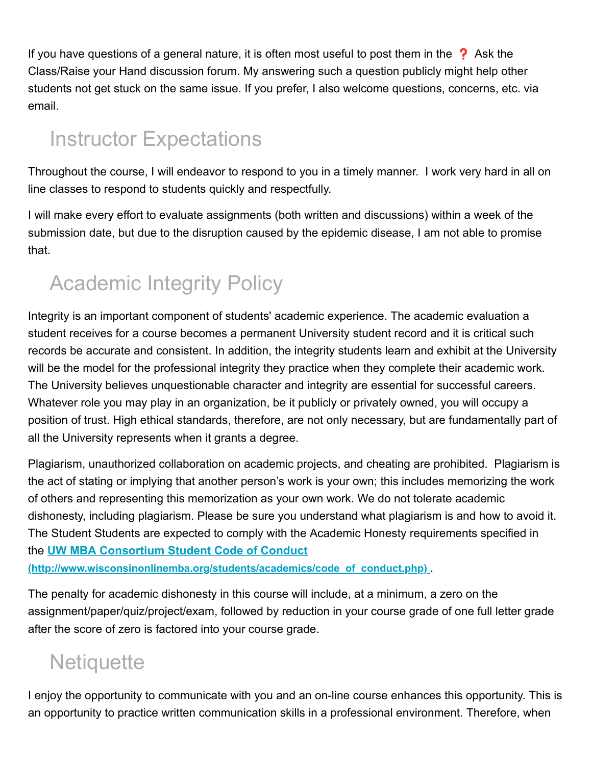If you have questions of a general nature, it is often most useful to post them in the  $\Omega$  Ask the Class/Raise your Hand discussion forum. My answering such a question publicly might help other students not get stuck on the same issue. If you prefer, I also welcome questions, concerns, etc. via email.

# Instructor Expectations

Throughout the course, I will endeavor to respond to you in a timely manner. I work very hard in all on line classes to respond to students quickly and respectfully.

I will make every effort to evaluate assignments (both written and discussions) within a week of the submission date, but due to the disruption caused by the epidemic disease, I am not able to promise that.

# Academic Integrity Policy

Integrity is an important component of students' academic experience. The academic evaluation a student receives for a course becomes a permanent University student record and it is critical such records be accurate and consistent. In addition, the integrity students learn and exhibit at the University will be the model for the professional integrity they practice when they complete their academic work. The University believes unquestionable character and integrity are essential for successful careers. Whatever role you may play in an organization, be it publicly or privately owned, you will occupy a position of trust. High ethical standards, therefore, are not only necessary, but are fundamentally part of all the University represents when it grants a degree.

Plagiarism, unauthorized collaboration on academic projects, and cheating are prohibited. Plagiarism is the act of stating or implying that another person's work is your own; this includes memorizing the work of others and representing this memorization as your own work. We do not tolerate academic dishonesty, including plagiarism. Please be sure you understand what plagiarism is and how to avoid it. The Student Students are expected to comply with the Academic Honesty requirements specified in the **UW MBA Consortium Student Code of Conduct**

**[\(http://www.wisconsinonlinemba.org/students/academics/code\\_of\\_conduct.php\)](http://www.wisconsinonlinemba.org/students/academics/code_of_conduct.php)** .

The penalty for academic dishonesty in this course will include, at a minimum, a zero on the assignment/paper/quiz/project/exam, followed by reduction in your course grade of one full letter grade after the score of zero is factored into your course grade.

### **Netiquette**

I enjoy the opportunity to communicate with you and an on-line course enhances this opportunity. This is an opportunity to practice written communication skills in a professional environment. Therefore, when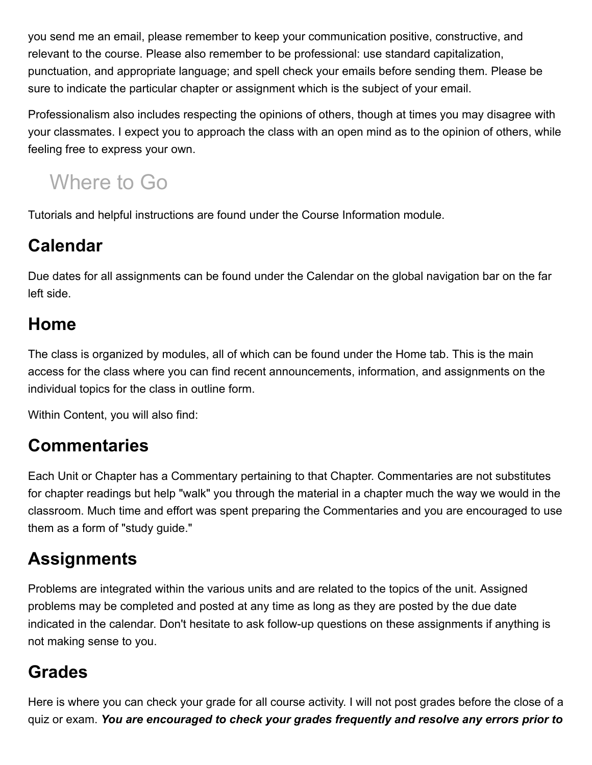you send me an email, please remember to keep your communication positive, constructive, and relevant to the course. Please also remember to be professional: use standard capitalization, punctuation, and appropriate language; and spell check your emails before sending them. Please be sure to indicate the particular chapter or assignment which is the subject of your email.

Professionalism also includes respecting the opinions of others, though at times you may disagree with your classmates. I expect you to approach the class with an open mind as to the opinion of others, while feeling free to express your own.

# Where to Go

Tutorials and helpful instructions are found under the Course Information module.

#### **Calendar**

Due dates for all assignments can be found under the Calendar on the global navigation bar on the far left side.

#### **Home**

The class is organized by modules, all of which can be found under the Home tab. This is the main access for the class where you can find recent announcements, information, and assignments on the individual topics for the class in outline form.

Within Content, you will also find:

#### **Commentaries**

Each Unit or Chapter has a Commentary pertaining to that Chapter. Commentaries are not substitutes for chapter readings but help "walk" you through the material in a chapter much the way we would in the classroom. Much time and effort was spent preparing the Commentaries and you are encouraged to use them as a form of "study guide."

#### **Assignments**

Problems are integrated within the various units and are related to the topics of the unit. Assigned problems may be completed and posted at any time as long as they are posted by the due date indicated in the calendar. Don't hesitate to ask follow-up questions on these assignments if anything is not making sense to you.

#### **Grades**

Here is where you can check your grade for all course activity. I will not post grades before the close of a quiz or exam. *You are encouraged to check your grades frequently and resolve any errors prior to*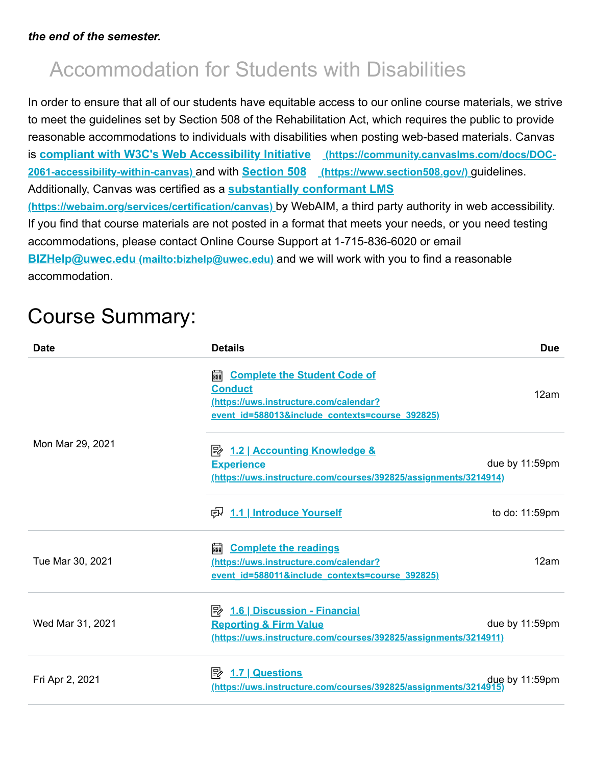# Accommodation for Students with Disabilities

In order to ensure that all of our students have equitable access to our online course materials, we strive to meet the guidelines set by Section 508 of the Rehabilitation Act, which requires the public to provide reasonable accommodations to individuals with disabilities when posting web-based materials. Canvas is **[compliant with W3C's Web Accessibility Initiative](https://community.canvaslms.com/docs/DOC-2061-accessibility-within-canvas) (https://community.canvaslms.com/docs/DOC-2061-accessibility-within-canvas)** and with **Section 508 [\(https://www.section508.gov/\)](https://www.section508.gov/)** guidelines. Additionally, Canvas was certified as a **substantially conformant LMS [\(https://webaim.org/services/certification/canvas\)](https://webaim.org/services/certification/canvas)** by WebAIM, a third party authority in web accessibility. If you find that course materials are not posted in a format that meets your needs, or you need testing accommodations, please contact Online Course Support at 1-715-836-6020 or email **BIZHelp@uwec.edu [\(mailto:bizhelp@uwec.edu\)](mailto:bizhelp@uwec.edu)** and we will work with you to find a reasonable accommodation.

# Course Summary:

| <b>Date</b>      | <b>Details</b>                                                                                                                                          | <b>Due</b>     |
|------------------|---------------------------------------------------------------------------------------------------------------------------------------------------------|----------------|
|                  | <b>Complete the Student Code of</b><br>翩<br><b>Conduct</b><br>(https://uws.instructure.com/calendar?<br>event id=588013&include_contexts=course_392825) | 12am           |
| Mon Mar 29, 2021 | <b>Experience</b><br>(https://uws.instructure.com/courses/392825/assignments/3214914)                                                                   | due by 11:59pm |
|                  | 良 1.1 Introduce Yourself                                                                                                                                | to do: 11:59pm |
| Tue Mar 30, 2021 | <b>Complete the readings</b><br>翩<br>(https://uws.instructure.com/calendar?<br>event id=588011&include contexts=course 392825)                          | 12am           |
| Wed Mar 31, 2021 | <b>Reporting &amp; Firm Value</b><br>(https://uws.instructure.com/courses/392825/assignments/3214911)                                                   | due by 11:59pm |
| Fri Apr 2, 2021  | 1.7   Questions<br>眕<br><u>(https://uws.instructure.com/courses/392825/assignments/3214915)</u>                                                         | due by 11:59pm |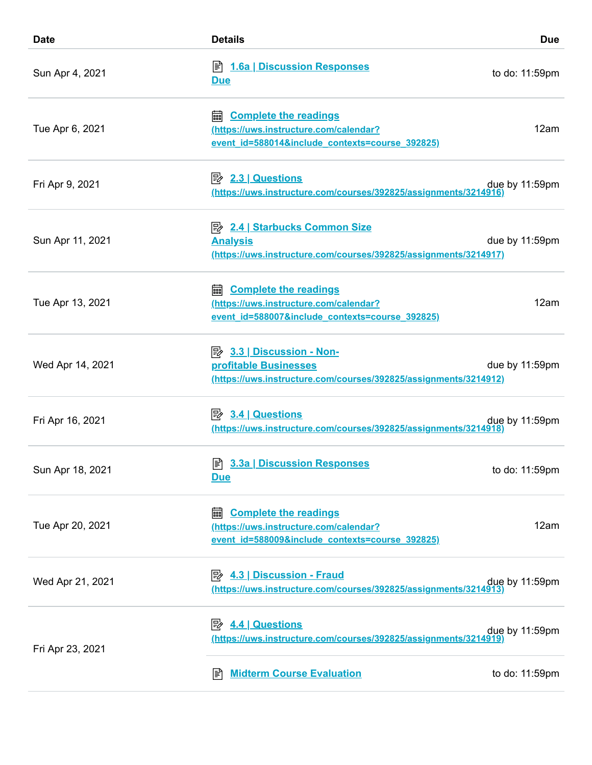| <b>Date</b>      | <b>Details</b>                                                                                                                     | <b>Due</b>     |
|------------------|------------------------------------------------------------------------------------------------------------------------------------|----------------|
| Sun Apr 4, 2021  | <b>A</b> 1.6a   Discussion Responses<br><b>Due</b>                                                                                 | to do: 11:59pm |
| Tue Apr 6, 2021  | <b>Complete the readings</b><br>翩<br>(https://uws.instructure.com/calendar?<br>event_id=588014&include_contexts=course_392825)     | 12am           |
| Fri Apr 9, 2021  | B <sup>2.3</sup> <u>Questions</u><br>(https://uws.instructure.com/courses/392825/assignments/3214916                               | due by 11:59pm |
| Sun Apr 11, 2021 | <b>E</b> 2.4   Starbucks Common Size<br><b>Analysis</b><br>(https://uws.instructure.com/courses/392825/assignments/3214917)        | due by 11:59pm |
| Tue Apr 13, 2021 | <b>a.</b> Complete the readings<br>(https://uws.instructure.com/calendar?<br>event_id=588007&include_contexts=course_392825)       | 12am           |
| Wed Apr 14, 2021 | $\Rightarrow$ 3.3   Discussion - Non-<br>profitable Businesses<br>(https://uws.instructure.com/courses/392825/assignments/3214912) | due by 11:59pm |
| Fri Apr 16, 2021 | $\boxed{P}$ 3.4 Questions<br>(https://uws.instructure.com/courses/392825/assignments/3214918                                       | due by 11:59pm |
| Sun Apr 18, 2021 | <u>Due</u>                                                                                                                         | to do: 11:59pm |
| Tue Apr 20, 2021 | <b>Complete the readings</b><br>翩<br>(https://uws.instructure.com/calendar?<br>event id=588009&include contexts=course 392825)     | 12am           |
| Wed Apr 21, 2021 | (https://uws.instructure.com/courses/392825/assignments/3214913)                                                                   | due by 11:59pm |
| Fri Apr 23, 2021 | $\mathbb{R}$ 4.4 Questions<br>(https://uws.instructure.com/courses/392825/assignments/3214919                                      | due by 11:59pm |
|                  | <b>Midterm Course Evaluation</b><br>訚                                                                                              | to do: 11:59pm |